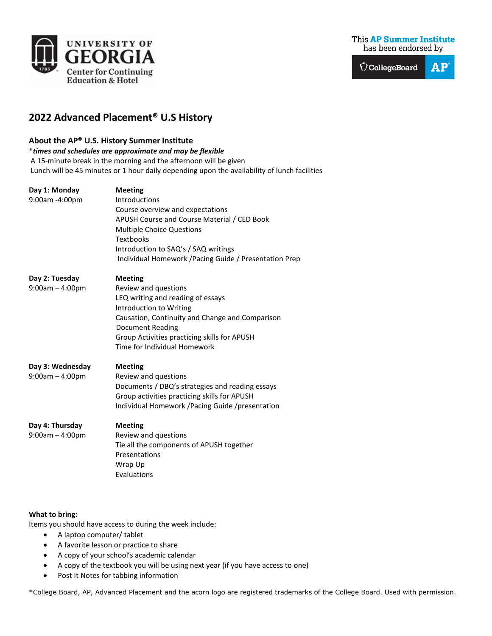



## **2022 Advanced Placement® U.S History**

## **About the AP® U.S. History Summer Institute**

\**times and schedules are approximate and may be flexible* A 15-minute break in the morning and the afternoon will be given Lunch will be 45 minutes or 1 hour daily depending upon the availability of lunch facilities

| Day 1: Monday<br>9:00am -4:00pm       | <b>Meeting</b><br><b>Introductions</b><br>Course overview and expectations<br>APUSH Course and Course Material / CED Book<br><b>Multiple Choice Questions</b><br><b>Textbooks</b><br>Introduction to SAQ's / SAQ writings<br>Individual Homework / Pacing Guide / Presentation Prep |
|---------------------------------------|-------------------------------------------------------------------------------------------------------------------------------------------------------------------------------------------------------------------------------------------------------------------------------------|
| Day 2: Tuesday<br>$9:00am - 4:00pm$   | <b>Meeting</b><br>Review and questions<br>LEQ writing and reading of essays<br>Introduction to Writing<br>Causation, Continuity and Change and Comparison<br><b>Document Reading</b><br>Group Activities practicing skills for APUSH<br>Time for Individual Homework                |
| Day 3: Wednesday<br>$9:00am - 4:00pm$ | <b>Meeting</b><br>Review and questions<br>Documents / DBQ's strategies and reading essays<br>Group activities practicing skills for APUSH<br>Individual Homework / Pacing Guide / presentation                                                                                      |
| Day 4: Thursday<br>$9:00am - 4:00pm$  | <b>Meeting</b><br>Review and questions<br>Tie all the components of APUSH together<br>Presentations<br>Wrap Up<br>Evaluations                                                                                                                                                       |

## **What to bring:**

Items you should have access to during the week include:

- A laptop computer/ tablet
- A favorite lesson or practice to share
- A copy of your school's academic calendar
- A copy of the textbook you will be using next year (if you have access to one)
- Post It Notes for tabbing information

\*College Board, AP, Advanced Placement and the acorn logo are registered trademarks of the College Board. Used with permission.